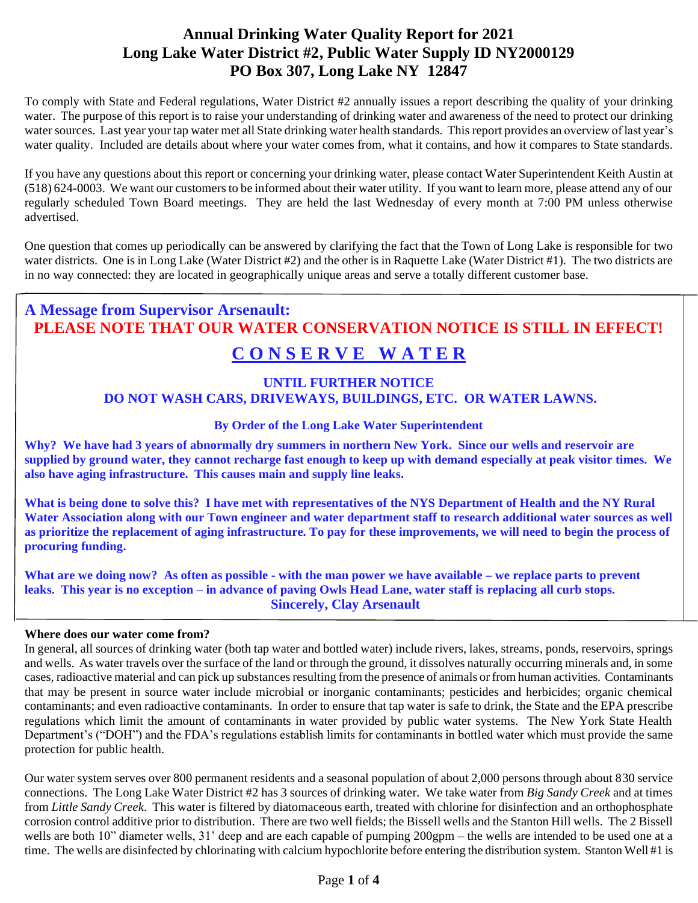## **Annual Drinking Water Quality Report for 2021 Long Lake Water District #2, Public Water Supply ID NY2000129 PO Box 307, Long Lake NY 12847**

To comply with State and Federal regulations, Water District #2 annually issues a report describing the quality of your drinking water. The purpose of this report is to raise your understanding of drinking water and awareness of the need to protect our drinking water sources. Last year your tap water met all State drinking water health standards. This report provides an overview of last year's water quality. Included are details about where your water comes from, what it contains, and how it compares to State standards.

If you have any questions about this report or concerning your drinking water, please contact Water Superintendent Keith Austin at (518) 624-0003. We want our customers to be informed about their water utility. If you want to learn more, please attend any of our regularly scheduled Town Board meetings. They are held the last Wednesday of every month at 7:00 PM unless otherwise advertised.

One question that comes up periodically can be answered by clarifying the fact that the Town of Long Lake is responsible for two water districts. One is in Long Lake (Water District #2) and the other is in Raquette Lake (Water District #1). The two districts are in no way connected: they are located in geographically unique areas and serve a totally different customer base.

# **A Message from Supervisor Arsenault: PLEASE NOTE THAT OUR WATER CONSERVATION NOTICE IS STILL IN EFFECT!**

## **C O N S E R V E W A T E R**

## **UNTIL FURTHER NOTICE DO NOT WASH CARS, DRIVEWAYS, BUILDINGS, ETC. OR WATER LAWNS.**

## **By Order of the Long Lake Water Superintendent**

**Why? We have had 3 years of abnormally dry summers in northern New York. Since our wells and reservoir are supplied by ground water, they cannot recharge fast enough to keep up with demand especially at peak visitor times. We also have aging infrastructure. This causes main and supply line leaks.** 

**What is being done to solve this? I have met with representatives of the NYS Department of Health and the NY Rural Water Association along with our Town engineer and water department staff to research additional water sources as well as prioritize the replacement of aging infrastructure. To pay for these improvements, we will need to begin the process of procuring funding.** 

**What are we doing now? As often as possible - with the man power we have available – we replace parts to prevent leaks. This year is no exception – in advance of paving Owls Head Lane, water staff is replacing all curb stops. Sincerely, Clay Arsenault**

## **Where does our water come from?**

In general, all sources of drinking water (both tap water and bottled water) include rivers, lakes, streams, ponds, reservoirs, springs and wells. As water travels over the surface of the land or through the ground, it dissolves naturally occurring minerals and, in some cases, radioactive material and can pick up substances resulting from the presence of animals or from human activities. Contaminants that may be present in source water include microbial or inorganic contaminants; pesticides and herbicides; organic chemical contaminants; and even radioactive contaminants. In order to ensure that tap water is safe to drink, the State and the EPA prescribe regulations which limit the amount of contaminants in water provided by public water systems. The New York State Health Department's ("DOH") and the FDA's regulations establish limits for contaminants in bottled water which must provide the same protection for public health.

Our water system serves over 800 permanent residents and a seasonal population of about 2,000 persons through about 830 service connections. The Long Lake Water District #2 has 3 sources of drinking water. We take water from *Big Sandy Creek* and at times from *Little Sandy Creek*. This water is filtered by diatomaceous earth, treated with chlorine for disinfection and an orthophosphate corrosion control additive prior to distribution. There are two well fields; the Bissell wells and the Stanton Hill wells. The 2 Bissell wells are both 10" diameter wells, 31' deep and are each capable of pumping 200gpm – the wells are intended to be used one at a time. The wells are disinfected by chlorinating with calcium hypochlorite before entering the distribution system. Stanton Well #1 is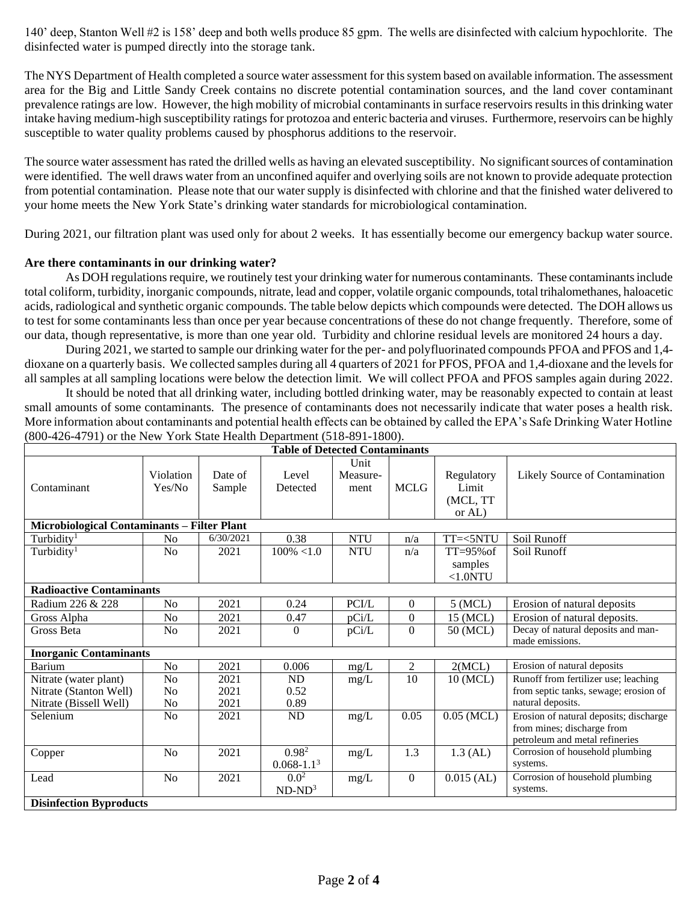140' deep, Stanton Well #2 is 158' deep and both wells produce 85 gpm. The wells are disinfected with calcium hypochlorite. The disinfected water is pumped directly into the storage tank.

The NYS Department of Health completed a source water assessment for this system based on available information. The assessment area for the Big and Little Sandy Creek contains no discrete potential contamination sources, and the land cover contaminant prevalence ratings are low. However, the high mobility of microbial contaminants in surface reservoirs results in this drinking water intake having medium-high susceptibility ratings for protozoa and enteric bacteria and viruses. Furthermore, reservoirs can be highly susceptible to water quality problems caused by phosphorus additions to the reservoir.

The source water assessment has rated the drilled wells as having an elevated susceptibility. No significant sources of contamination were identified. The well draws water from an unconfined aquifer and overlying soils are not known to provide adequate protection from potential contamination. Please note that our water supply is disinfected with chlorine and that the finished water delivered to your home meets the New York State's drinking water standards for microbiological contamination.

During 2021, our filtration plant was used only for about 2 weeks. It has essentially become our emergency backup water source.

## **Are there contaminants in our drinking water?**

As DOH regulations require, we routinely test your drinking water for numerous contaminants. These contaminants include total coliform, turbidity, inorganic compounds, nitrate, lead and copper, volatile organic compounds, total trihalomethanes, haloacetic acids, radiological and synthetic organic compounds. The table below depicts which compounds were detected. The DOH allows us to test for some contaminants less than once per year because concentrations of these do not change frequently. Therefore, some of our data, though representative, is more than one year old. Turbidity and chlorine residual levels are monitored 24 hours a day.

During 2021, we started to sample our drinking water for the per- and polyfluorinated compounds PFOA and PFOS and 1,4 dioxane on a quarterly basis. We collected samples during all 4 quarters of 2021 for PFOS, PFOA and 1,4-dioxane and the levels for all samples at all sampling locations were below the detection limit. We will collect PFOA and PFOS samples again during 2022.

It should be noted that all drinking water, including bottled drinking water, may be reasonably expected to contain at least small amounts of some contaminants. The presence of contaminants does not necessarily indicate that water poses a health risk. More information about contaminants and potential health effects can be obtained by called the EPA's Safe Drinking Water Hotline (800-426-4791) or the New York State Health Department (518-891-1800).

| <b>Table of Detected Contaminants</b>              |                     |                   |                              |                          |                  |                                           |                                                                                                        |
|----------------------------------------------------|---------------------|-------------------|------------------------------|--------------------------|------------------|-------------------------------------------|--------------------------------------------------------------------------------------------------------|
| Contaminant                                        | Violation<br>Yes/No | Date of<br>Sample | Level<br>Detected            | Unit<br>Measure-<br>ment | <b>MCLG</b>      | Regulatory<br>Limit<br>(MCL, TT<br>or AL) | Likely Source of Contamination                                                                         |
| <b>Microbiological Contaminants - Filter Plant</b> |                     |                   |                              |                          |                  |                                           |                                                                                                        |
| Turbidity <sup>1</sup>                             | N <sub>o</sub>      | 6/30/2021         | 0.38                         | <b>NTU</b>               | n/a              | TT=<5NTU                                  | Soil Runoff                                                                                            |
| Turbidity <sup>1</sup>                             | No                  | 2021              | $100\% < 1.0$                | <b>NTU</b>               | n/a              | $TT = 95\%$ of<br>samples<br><1.0NTU      | Soil Runoff                                                                                            |
| <b>Radioactive Contaminants</b>                    |                     |                   |                              |                          |                  |                                           |                                                                                                        |
| Radium 226 & 228                                   | N <sub>0</sub>      | 2021              | 0.24                         | PCI/L                    | $\overline{0}$   | $5$ (MCL)                                 | Erosion of natural deposits                                                                            |
| Gross Alpha                                        | No                  | 2021              | 0.47                         | pCi/L                    | $\boldsymbol{0}$ | 15 (MCL)                                  | Erosion of natural deposits.                                                                           |
| Gross Beta                                         | N <sub>0</sub>      | 2021              | $\Omega$                     | pCi/L                    | $\overline{0}$   | 50 (MCL)                                  | Decay of natural deposits and man-<br>made emissions.                                                  |
| <b>Inorganic Contaminants</b>                      |                     |                   |                              |                          |                  |                                           |                                                                                                        |
| Barium                                             | N <sub>o</sub>      | 2021              | 0.006                        | mg/L                     | 2                | 2(MCL)                                    | Erosion of natural deposits                                                                            |
| Nitrate (water plant)                              | N <sub>o</sub>      | 2021              | ND                           | mg/L                     | 10               | 10 (MCL)                                  | Runoff from fertilizer use; leaching                                                                   |
| Nitrate (Stanton Well)                             | N <sub>o</sub>      | 2021              | 0.52                         |                          |                  |                                           | from septic tanks, sewage; erosion of                                                                  |
| Nitrate (Bissell Well)                             | No                  | 2021              | 0.89                         |                          |                  |                                           | natural deposits.                                                                                      |
| Selenium                                           | N <sub>o</sub>      | 2021              | ND                           | mg/L                     | 0.05             | $0.05$ (MCL)                              | Erosion of natural deposits; discharge<br>from mines; discharge from<br>petroleum and metal refineries |
| Copper                                             | N <sub>o</sub>      | 2021              | $0.98^{2}$<br>$0.068 - 1.13$ | mg/L                     | 1.3              | $1.3$ (AL)                                | Corrosion of household plumbing<br>systems.                                                            |
| Lead                                               | N <sub>o</sub>      | 2021              | $0.0^{2}$<br>$ND-ND3$        | mg/L                     | $\overline{0}$   | $0.015$ (AL)                              | Corrosion of household plumbing<br>systems.                                                            |
| <b>Disinfection Byproducts</b>                     |                     |                   |                              |                          |                  |                                           |                                                                                                        |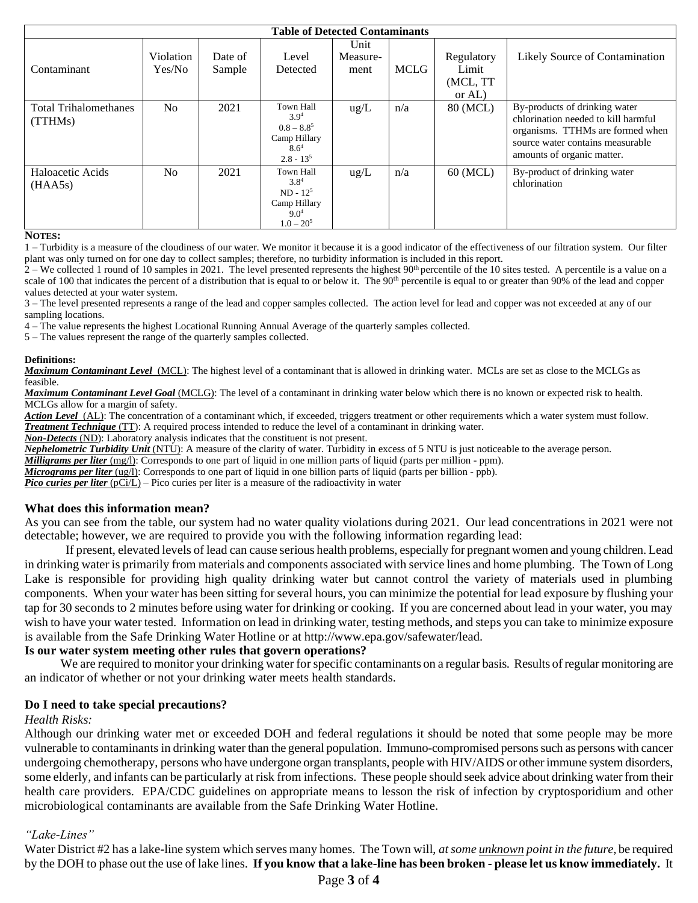| <b>Table of Detected Contaminants</b>   |                     |                   |                                                                                          |                          |             |                                           |                                                                                                                                                                            |
|-----------------------------------------|---------------------|-------------------|------------------------------------------------------------------------------------------|--------------------------|-------------|-------------------------------------------|----------------------------------------------------------------------------------------------------------------------------------------------------------------------------|
| Contaminant                             | Violation<br>Yes/No | Date of<br>Sample | Level<br>Detected                                                                        | Unit<br>Measure-<br>ment | <b>MCLG</b> | Regulatory<br>Limit<br>(MCL, TT<br>or AL) | Likely Source of Contamination                                                                                                                                             |
| <b>Total Trihalomethanes</b><br>(TTHMs) | N <sub>0</sub>      | 2021              | Town Hall<br>$3.9^{4}$<br>$0.8 - 8.8^{5}$<br>Camp Hillary<br>$8.6^4$<br>$2.8 - 135$      | $\text{ug/L}$            | n/a         | 80 (MCL)                                  | By-products of drinking water<br>chlorination needed to kill harmful<br>organisms. TTHMs are formed when<br>source water contains measurable<br>amounts of organic matter. |
| Haloacetic Acids<br>(HAA5s)             | N <sub>0</sub>      | 2021              | Town Hall<br>$3.8^{4}$<br>$ND - 125$<br>Camp Hillary<br>9.0 <sup>4</sup><br>$1.0 - 20^5$ | $\text{ug/L}$            | n/a         | 60 (MCL)                                  | By-product of drinking water<br>chlorination                                                                                                                               |

#### **NOTES:**

1 – Turbidity is a measure of the cloudiness of our water. We monitor it because it is a good indicator of the effectiveness of our filtration system. Our filter plant was only turned on for one day to collect samples; therefore, no turbidity information is included in this report.

 $2 -$  We collected 1 round of 10 samples in 2021. The level presented represents the highest 90<sup>th</sup> percentile of the 10 sites tested. A percentile is a value on a scale of 100 that indicates the percent of a distribution that is equal to or below it. The 90<sup>th</sup> percentile is equal to or greater than 90% of the lead and copper values detected at your water system.

3 – The level presented represents a range of the lead and copper samples collected. The action level for lead and copper was not exceeded at any of our sampling locations.

4 – The value represents the highest Locational Running Annual Average of the quarterly samples collected.

5 – The values represent the range of the quarterly samples collected.

#### **Definitions:**

**Maximum Contaminant Level** (MCL): The highest level of a contaminant that is allowed in drinking water. MCLs are set as close to the MCLGs as feasible.

*Maximum Contaminant Level Goal* (MCLG): The level of a contaminant in drinking water below which there is no known or expected risk to health. MCLGs allow for a margin of safety.

*Action Level* (AL): The concentration of a contaminant which, if exceeded, triggers treatment or other requirements which a water system must follow. *Treatment Technique* (TT): A required process intended to reduce the level of a contaminant in drinking water.

*Non-Detects* (ND): Laboratory analysis indicates that the constituent is not present.

*Nephelometric Turbidity Unit* (NTU): A measure of the clarity of water. Turbidity in excess of 5 NTU is just noticeable to the average person.

*Milligrams per liter* (mg/l): Corresponds to one part of liquid in one million parts of liquid (parts per million - ppm).

*Micrograms per liter* (ug/l): Corresponds to one part of liquid in one billion parts of liquid (parts per billion - ppb).

*Pico curies per liter* (pCi/L) – Pico curies per liter is a measure of the radioactivity in water

#### **What does this information mean?**

As you can see from the table, our system had no water quality violations during 2021. Our lead concentrations in 2021 were not detectable; however, we are required to provide you with the following information regarding lead:

If present, elevated levels of lead can cause serious health problems, especially for pregnant women and young children. Lead in drinking water is primarily from materials and components associated with service lines and home plumbing. The Town of Long Lake is responsible for providing high quality drinking water but cannot control the variety of materials used in plumbing components. When your water has been sitting for several hours, you can minimize the potential for lead exposure by flushing your tap for 30 seconds to 2 minutes before using water for drinking or cooking. If you are concerned about lead in your water, you may wish to have your water tested. Information on lead in drinking water, testing methods, and steps you can take to minimize exposure is available from the Safe Drinking Water Hotline or at http://www.epa.gov/safewater/lead.

#### **Is our water system meeting other rules that govern operations?**

We are required to monitor your drinking water for specific contaminants on a regular basis. Results of regular monitoring are an indicator of whether or not your drinking water meets health standards.

#### **Do I need to take special precautions?**

#### *Health Risks:*

Although our drinking water met or exceeded DOH and federal regulations it should be noted that some people may be more vulnerable to contaminants in drinking water than the general population. Immuno-compromised persons such as persons with cancer undergoing chemotherapy, persons who have undergone organ transplants, people with HIV/AIDS or other immune system disorders, some elderly, and infants can be particularly at risk from infections. These people should seek advice about drinking water from their health care providers. EPA/CDC guidelines on appropriate means to lesson the risk of infection by cryptosporidium and other microbiological contaminants are available from the Safe Drinking Water Hotline.

#### *"Lake-Lines"*

Water District #2 has a lake-line system which serves many homes. The Town will, *at some unknown point in the future*, be required by the DOH to phase out the use of lake lines. **If you know that a lake-line has been broken - please let us know immediately.** It